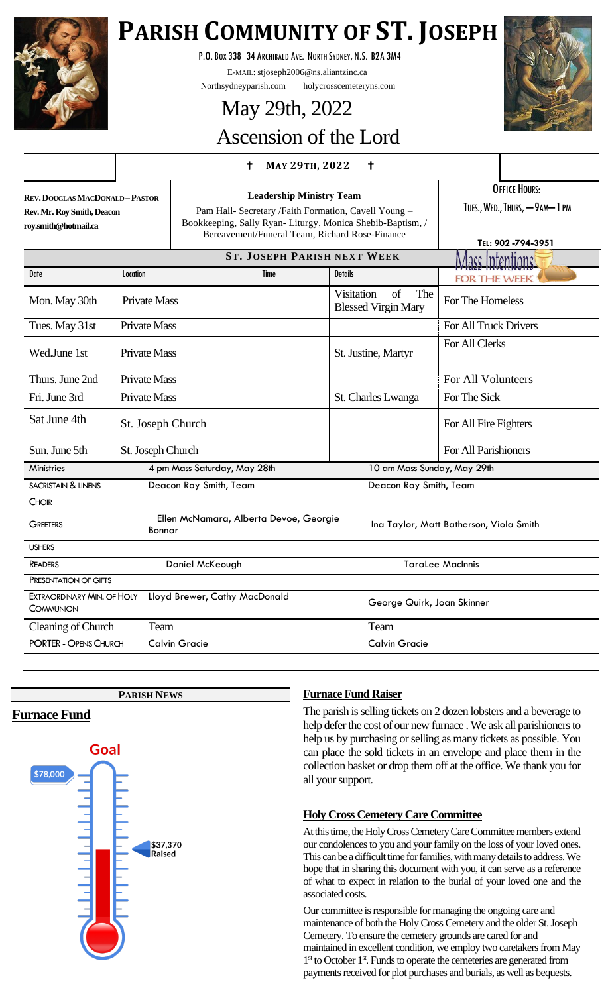

# **PARISH COMMUNITY OF ST. JOSEPH**

P.O.BOX 338 34 ARCHIBALD AVE. NORTH SYDNEY, N.S. B2A 3M4

E-MAIL: stjoseph2006@ns.aliantzinc.ca

Northsydneyparish.com holycrosscemeteryns.com

# May 29th, 2022



# Ascension of the Lord

# **<sup>M</sup>AY 29TH, <sup>2022</sup>**

| <b>REV. DOUGLAS MACDONALD-PASTOR</b> |
|--------------------------------------|
| Rev. Mr. Roy Smith, Deacon           |
| rov.smith@hotmail.ca                 |

**Leadership Ministry Team** Pam Hall- Secretary /Faith Formation, Cavell Young – Bookkeeping, Sally Ryan- Liturgy, Monica Shebib-Baptism, / Bereavement/Funeral Team, Richard Rose-Finance

OFFICE HOURS:

TUES., WED., THURS, -9AM-1 PM

|                                                         |          |                                                  |                        |             |                        |                                         | TEL: 902-794-3951     |
|---------------------------------------------------------|----------|--------------------------------------------------|------------------------|-------------|------------------------|-----------------------------------------|-----------------------|
| <b>ST. JOSEPH PARISH NEXT WEEK</b><br>Vlace Intentione' |          |                                                  |                        |             |                        |                                         |                       |
| Date                                                    | Location |                                                  |                        | <b>Time</b> | <b>Details</b>         |                                         | <b>FOR THE WEEK</b>   |
| Mon. May 30th                                           |          | <b>Private Mass</b>                              |                        |             | <b>Visitation</b>      | of<br>The<br><b>Blessed Virgin Mary</b> | For The Homeless      |
| Tues. May 31st                                          |          | <b>Private Mass</b>                              |                        |             |                        |                                         | For All Truck Drivers |
| Wed.June 1st                                            |          | <b>Private Mass</b>                              |                        |             | St. Justine, Martyr    |                                         | For All Clerks        |
| Thurs. June 2nd                                         |          | <b>Private Mass</b>                              |                        |             |                        |                                         | For All Volunteers    |
| Fri. June 3rd                                           |          | <b>Private Mass</b>                              |                        |             |                        | St. Charles Lwanga                      | For The Sick          |
| Sat June 4th                                            |          |                                                  | St. Joseph Church      |             |                        |                                         | For All Fire Fighters |
| Sun. June 5th                                           |          |                                                  | St. Joseph Church      |             |                        |                                         | For All Parishioners  |
| <b>Ministries</b>                                       |          | 4 pm Mass Saturday, May 28th                     |                        |             |                        | 10 am Mass Sunday, May 29th             |                       |
| <b>SACRISTAIN &amp; LINENS</b>                          |          |                                                  | Deacon Roy Smith, Team |             | Deacon Roy Smith, Team |                                         |                       |
| <b>CHOIR</b>                                            |          |                                                  |                        |             |                        |                                         |                       |
| <b>GREETERS</b>                                         |          | Ellen McNamara, Alberta Devoe, Georgie<br>Bonnar |                        |             |                        | Ina Taylor, Matt Batherson, Viola Smith |                       |
| <b>USHERS</b>                                           |          |                                                  |                        |             |                        |                                         |                       |
| <b>READERS</b>                                          |          | Daniel McKeough                                  |                        |             |                        | <b>TaraLee MacInnis</b>                 |                       |
| PRESENTATION OF GIFTS                                   |          |                                                  |                        |             |                        |                                         |                       |
| EXTRAORDINARY MIN. OF HOLY<br>COMMUNION                 |          | Lloyd Brewer, Cathy MacDonald                    |                        |             |                        | George Quirk, Joan Skinner              |                       |
| Cleaning of Church                                      |          | Team                                             |                        |             |                        | Team                                    |                       |
| <b>PORTER - OPENS CHURCH</b>                            |          | <b>Calvin Gracie</b>                             |                        |             |                        | <b>Calvin Gracie</b>                    |                       |
|                                                         |          |                                                  |                        |             |                        |                                         |                       |

### **PARISH NEWS**

# **Furnace Fund**



# **Furnace Fund Raiser**

The parish is selling tickets on 2 dozen lobsters and a beverage to help defer the cost of our new furnace. We ask all parishioners to help us by purchasing or selling as many tickets as possible. You can place the sold tickets in an envelope and place them in the collection basket or drop them off at the office. We thank you for all your support.

# **Holy Cross Cemetery Care Committee**

At this time, the Holy Cross Cemetery Care Committee members extend our condolences to you and your family on the loss of your loved ones. This can be a difficult time for families, with many details to address. We hope that in sharing this document with you, it can serve as a reference of what to expect in relation to the burial of your loved one and the associated costs.

Our committee is responsible for managing the ongoing care and maintenance of both the Holy Cross Cemetery and the older St. Joseph Cemetery. To ensure the cemetery grounds are cared for and maintained in excellent condition, we employ two caretakers from May 1<sup>st</sup> to October 1<sup>st</sup>. Funds to operate the cemeteries are generated from payments received for plot purchases and burials, as well as bequests.